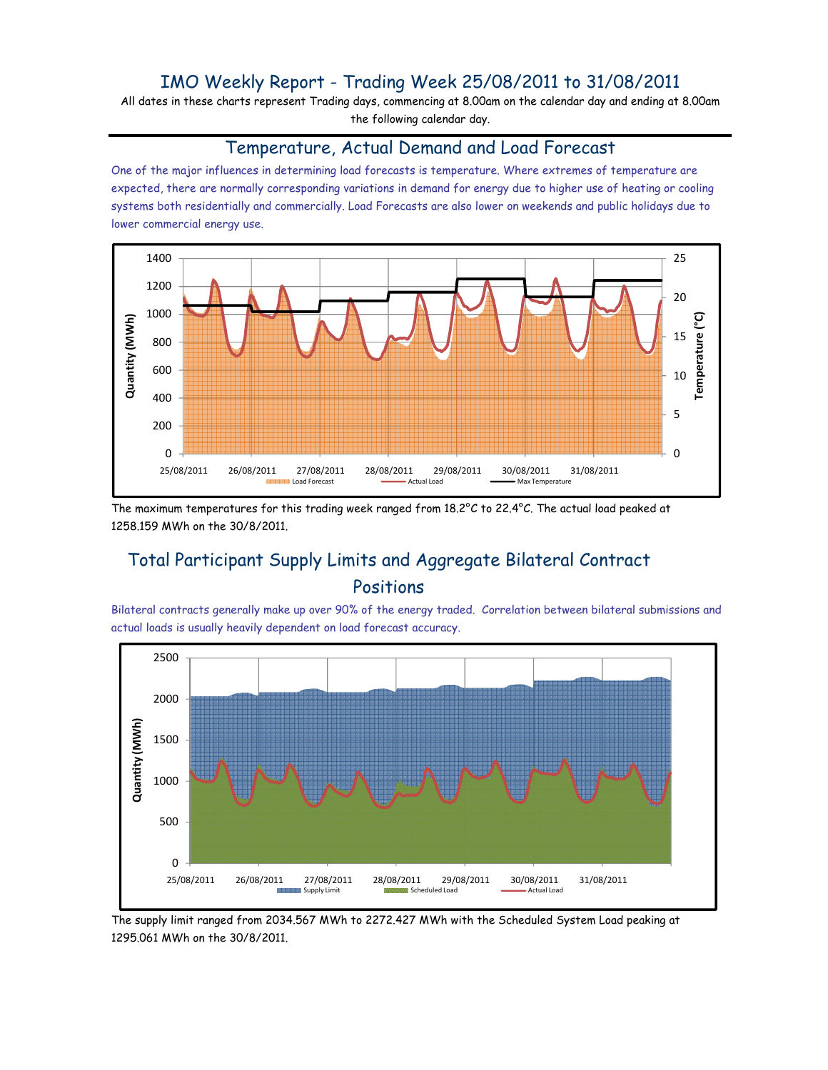### IMO Weekly Report - Trading Week 25/08/2011 to 31/08/2011

All dates in these charts represent Trading days, commencing at 8.00am on the calendar day and ending at 8.00am the following calendar day.

#### Temperature, Actual Demand and Load Forecast

One of the major influences in determining load forecasts is temperature. Where extremes of temperature are expected, there are normally corresponding variations in demand for energy due to higher use of heating or cooling systems both residentially and commercially. Load Forecasts are also lower on weekends and public holidays due to lower commercial energy use.



The maximum temperatures for this trading week ranged from 18.2°C to 22.4°C. The actual load peaked at 1258.159 MWh on the 30/8/2011.

# Total Participant Supply Limits and Aggregate Bilateral Contract Positions

Bilateral contracts generally make up over 90% of the energy traded. Correlation between bilateral submissions and actual loads is usually heavily dependent on load forecast accuracy.



The supply limit ranged from 2034.567 MWh to 2272.427 MWh with the Scheduled System Load peaking at 1295.061 MWh on the 30/8/2011.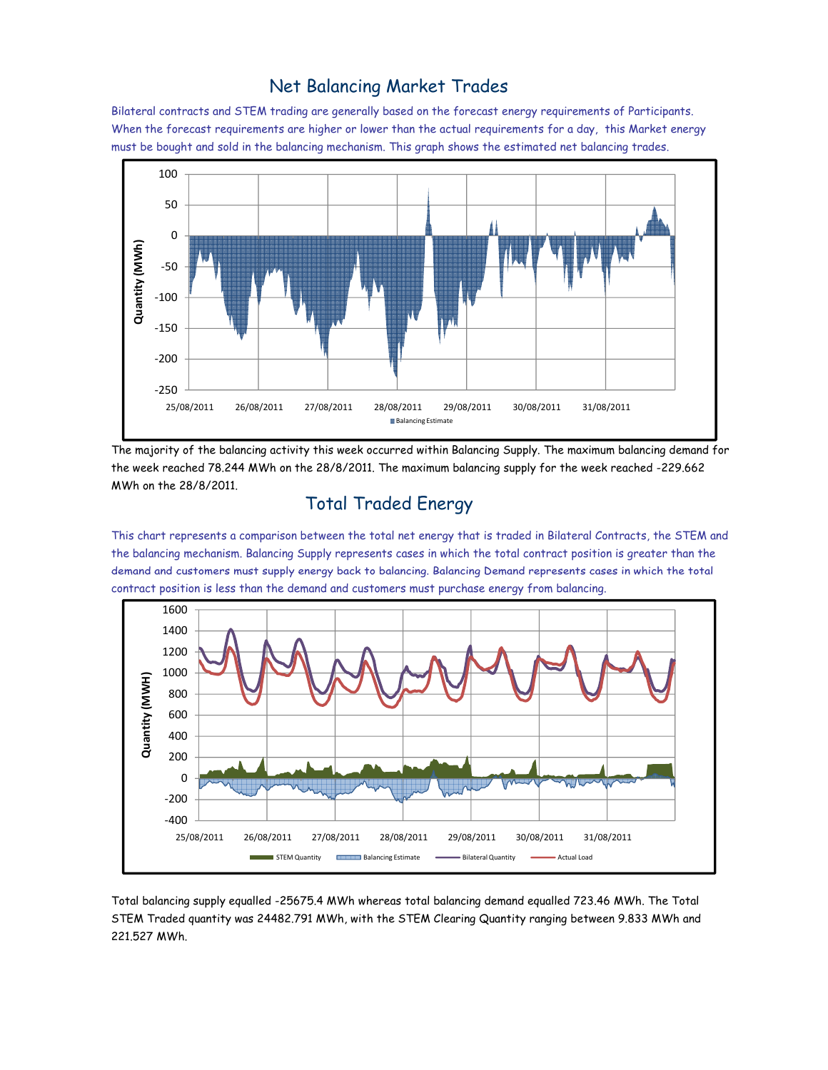#### Net Balancing Market Trades

Bilateral contracts and STEM trading are generally based on the forecast energy requirements of Participants. When the forecast requirements are higher or lower than the actual requirements for a day, this Market energy must be bought and sold in the balancing mechanism. This graph shows the estimated net balancing trades.



The majority of the balancing activity this week occurred within Balancing Supply. The maximum balancing demand for the week reached 78.244 MWh on the 28/8/2011. The maximum balancing supply for the week reached -229.662 MWh on the 28/8/2011.

# Total Traded Energy

This chart represents a comparison between the total net energy that is traded in Bilateral Contracts, the STEM and the balancing mechanism. Balancing Supply represents cases in which the total contract position is greater than the demand and customers must supply energy back to balancing. Balancing Demand represents cases in which the total contract position is less than the demand and customers must purchase energy from balancing.



Total balancing supply equalled -25675.4 MWh whereas total balancing demand equalled 723.46 MWh. The Total STEM Traded quantity was 24482.791 MWh, with the STEM Clearing Quantity ranging between 9.833 MWh and 221.527 MWh.